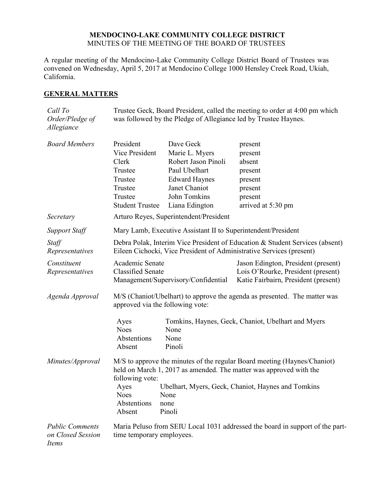### **MENDOCINO-LAKE COMMUNITY COLLEGE DISTRICT** MINUTES OF THE MEETING OF THE BOARD OF TRUSTEES

A regular meeting of the Mendocino-Lake Community College District Board of Trustees was convened on Wednesday, April 5, 2017 at Mendocino College 1000 Hensley Creek Road, Ukiah, California.

## **GENERAL MATTERS**

| Call To<br>Order/Pledge of<br>Allegiance             | Trustee Geck, Board President, called the meeting to order at 4:00 pm which<br>was followed by the Pledge of Allegiance led by Trustee Haynes.                    |                                                                                                                                                |                                                                                                                   |  |
|------------------------------------------------------|-------------------------------------------------------------------------------------------------------------------------------------------------------------------|------------------------------------------------------------------------------------------------------------------------------------------------|-------------------------------------------------------------------------------------------------------------------|--|
| <b>Board Members</b>                                 | President<br>Vice President<br>Clerk<br>Trustee<br>Trustee<br>Trustee<br>Trustee<br><b>Student Trustee</b>                                                        | Dave Geck<br>Marie L. Myers<br>Robert Jason Pinoli<br>Paul Ubelhart<br><b>Edward Haynes</b><br>Janet Chaniot<br>John Tomkins<br>Liana Edington | present<br>present<br>absent<br>present<br>present<br>present<br>present<br>arrived at 5:30 pm                    |  |
| Secretary                                            | Arturo Reyes, Superintendent/President                                                                                                                            |                                                                                                                                                |                                                                                                                   |  |
| <b>Support Staff</b>                                 | Mary Lamb, Executive Assistant II to Superintendent/President                                                                                                     |                                                                                                                                                |                                                                                                                   |  |
| Staff<br>Representatives                             | Debra Polak, Interim Vice President of Education & Student Services (absent)<br>Eileen Cichocki, Vice President of Administrative Services (present)              |                                                                                                                                                |                                                                                                                   |  |
| Constituent<br>Representatives                       | Academic Senate<br><b>Classified Senate</b><br>Management/Supervisory/Confidential                                                                                |                                                                                                                                                | Jason Edington, President (present)<br>Lois O'Rourke, President (present)<br>Katie Fairbairn, President (present) |  |
| Agenda Approval                                      | M/S (Chaniot/Ubelhart) to approve the agenda as presented. The matter was<br>approved via the following vote:                                                     |                                                                                                                                                |                                                                                                                   |  |
|                                                      | Tomkins, Haynes, Geck, Chaniot, Ubelhart and Myers<br>Ayes<br><b>Noes</b><br>None<br>Abstentions<br>None<br>Pinoli<br>Absent                                      |                                                                                                                                                |                                                                                                                   |  |
| Minutes/Approval                                     | M/S to approve the minutes of the regular Board meeting (Haynes/Chaniot)<br>held on March 1, 2017 as amended. The matter was approved with the<br>following vote: |                                                                                                                                                |                                                                                                                   |  |
|                                                      | Ayes<br><b>Noes</b><br>Abstentions<br>Absent                                                                                                                      | None<br>none<br>Pinoli                                                                                                                         | Ubelhart, Myers, Geck, Chaniot, Haynes and Tomkins                                                                |  |
| <b>Public Comments</b><br>on Closed Session<br>Items | Maria Peluso from SEIU Local 1031 addressed the board in support of the part-<br>time temporary employees.                                                        |                                                                                                                                                |                                                                                                                   |  |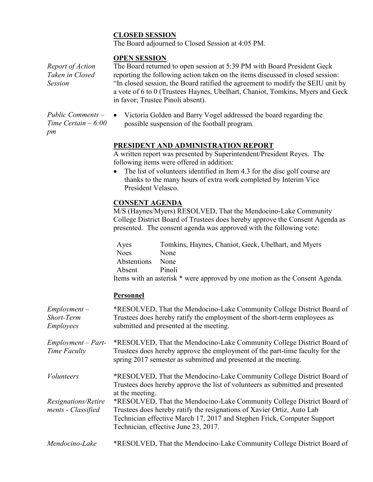# **CLOSED SESSION**

The Board adjourned to Closed Session at 4:05 PM.

## **OPEN SESSION**

*Report of Action Taken in Closed Session*

The Board returned to open session at 5:39 PM with Board President Geck reporting the following action taken on the items discussed in closed session: "In closed session, the Board ratified the agreement to modify the SEIU unit by a vote of 6 to 0 (Trustees Haynes, Ubelhart, Chaniot, Tomkins, Myers and Geck in favor; Trustee Pinoli absent).

- *Public Comments – Time Certain – 6:00 pm*
- Victoria Golden and Barry Vogel addressed the board regarding the possible suspension of the football program.

# **PRESIDENT AND ADMINISTRATION REPORT**

A written report was presented by Superintendent/President Reyes. The following items were offered in addition:

• The list of volunteers identified in Item 4.3 for the disc golf course are thanks to the many hours of extra work completed by Interim Vice President Velasco.

# **CONSENT AGENDA**

M/S (Haynes/Myers) RESOLVED, That the Mendocino-Lake Community College District Board of Trustees does hereby approve the Consent Agenda as presented. The consent agenda was approved with the following vote:

Ayes Tomkins, Haynes, Chaniot, Geck, Ubelhart, and Myers Noes None Abstentions None Absent Pinoli Items with an asterisk \* were approved by one motion as the Consent Agenda.

# **Personnel**

| $Employment -$<br>Short-Term<br><b>Employees</b> | *RESOLVED, That the Mendocino-Lake Community College District Board of<br>Trustees does hereby ratify the employment of the short-term employees as<br>submitted and presented at the meeting.                                                                      |
|--------------------------------------------------|---------------------------------------------------------------------------------------------------------------------------------------------------------------------------------------------------------------------------------------------------------------------|
| $Employment - Part-$<br>Time Faculty             | *RESOLVED, That the Mendocino-Lake Community College District Board of<br>Trustees does hereby approve the employment of the part-time faculty for the<br>spring 2017 semester as submitted and presented at the meeting.                                           |
| <i>Volunteers</i>                                | *RESOLVED, That the Mendocino-Lake Community College District Board of<br>Trustees does hereby approve the list of volunteers as submitted and presented<br>at the meeting.                                                                                         |
| Resignations/Retire<br>ments - Classified        | *RESOLVED, That the Mendocino-Lake Community College District Board of<br>Trustees does hereby ratify the resignations of Xavier Ortiz, Auto Lab<br>Technician effective March 17, 2017 and Stephen Frick, Computer Support<br>Technician, effective June 23, 2017. |
| Mendocino-Lake                                   | *RESOLVED, That the Mendocino-Lake Community College District Board of                                                                                                                                                                                              |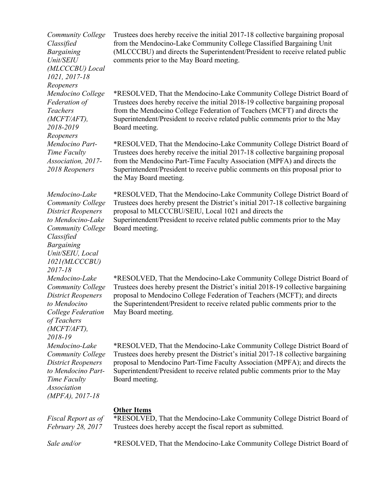*Community College Classified Bargaining Unit/SEIU (MLCCCBU) Local 1021, 2017-18 Reopeners Mendocino College Federation of Teachers (MCFT/AFT), 2018-2019 Reopeners Mendocino Part-Time Faculty Association, 2017- 2018 Reopeners Mendocino-Lake Community College District Reopeners to Mendocino-Lake Community College Classified Bargaining Unit/SEIU, Local 1021(MLCCCBU) 2017-18*

*Mendocino-Lake Community College District Reopeners to Mendocino College Federation* 

*of Teachers (MCFT/AFT), 2018-19*

*Mendocino-Lake Community College District Reopeners to Mendocino Part-*

*Time Faculty Association* 

*(MPFA), 2017-18*

*Fiscal Report as of February 28, 2017*

Trustees does hereby receive the initial 2017-18 collective bargaining proposal from the Mendocino-Lake Community College Classified Bargaining Unit (MLCCCBU) and directs the Superintendent/President to receive related public comments prior to the May Board meeting.

\*RESOLVED, That the Mendocino-Lake Community College District Board of Trustees does hereby receive the initial 2018-19 collective bargaining proposal from the Mendocino College Federation of Teachers (MCFT) and directs the Superintendent/President to receive related public comments prior to the May Board meeting.

\*RESOLVED, That the Mendocino-Lake Community College District Board of Trustees does hereby receive the initial 2017-18 collective bargaining proposal from the Mendocino Part-Time Faculty Association (MPFA) and directs the Superintendent/President to receive public comments on this proposal prior to the May Board meeting.

\*RESOLVED, That the Mendocino-Lake Community College District Board of Trustees does hereby present the District's initial 2017-18 collective bargaining proposal to MLCCCBU/SEIU, Local 1021 and directs the Superintendent/President to receive related public comments prior to the May Board meeting.

\*RESOLVED, That the Mendocino-Lake Community College District Board of Trustees does hereby present the District's initial 2018-19 collective bargaining proposal to Mendocino College Federation of Teachers (MCFT); and directs the Superintendent/President to receive related public comments prior to the May Board meeting.

\*RESOLVED, That the Mendocino-Lake Community College District Board of Trustees does hereby present the District's initial 2017-18 collective bargaining proposal to Mendocino Part-Time Faculty Association (MPFA); and directs the Superintendent/President to receive related public comments prior to the May Board meeting.

#### **Other Items**

\*RESOLVED, That the Mendocino-Lake Community College District Board of Trustees does hereby accept the fiscal report as submitted.

*Sale and/or* \*RESOLVED, That the Mendocino-Lake Community College District Board of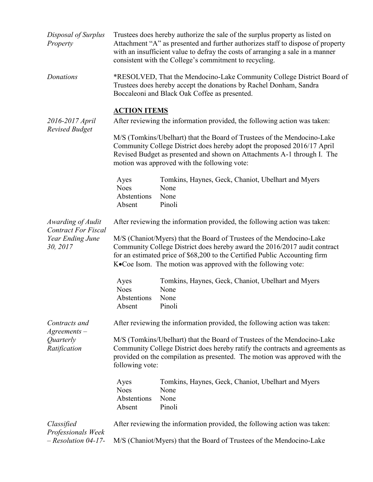| Disposal of Surplus<br>Property                                 | Trustees does hereby authorize the sale of the surplus property as listed on<br>Attachment "A" as presented and further authorizes staff to dispose of property<br>with an insufficient value to defray the costs of arranging a sale in a manner<br>consistent with the College's commitment to recycling. |                                                                              |  |  |
|-----------------------------------------------------------------|-------------------------------------------------------------------------------------------------------------------------------------------------------------------------------------------------------------------------------------------------------------------------------------------------------------|------------------------------------------------------------------------------|--|--|
| Donations                                                       | *RESOLVED, That the Mendocino-Lake Community College District Board of<br>Trustees does hereby accept the donations by Rachel Donham, Sandra<br>Boccaleoni and Black Oak Coffee as presented.                                                                                                               |                                                                              |  |  |
|                                                                 | <b>ACTION ITEMS</b>                                                                                                                                                                                                                                                                                         |                                                                              |  |  |
| 2016-2017 April<br><b>Revised Budget</b>                        | After reviewing the information provided, the following action was taken:                                                                                                                                                                                                                                   |                                                                              |  |  |
|                                                                 | M/S (Tomkins/Ubelhart) that the Board of Trustees of the Mendocino-Lake<br>Community College District does hereby adopt the proposed 2016/17 April<br>Revised Budget as presented and shown on Attachments A-1 through I. The<br>motion was approved with the following vote:                               |                                                                              |  |  |
|                                                                 | Ayes<br><b>Noes</b><br>Abstentions<br>Absent                                                                                                                                                                                                                                                                | Tomkins, Haynes, Geck, Chaniot, Ubelhart and Myers<br>None<br>None<br>Pinoli |  |  |
| Awarding of Audit                                               | After reviewing the information provided, the following action was taken:                                                                                                                                                                                                                                   |                                                                              |  |  |
| <b>Contract For Fiscal</b><br>Year Ending June<br>30, 2017      | M/S (Chaniot/Myers) that the Board of Trustees of the Mendocino-Lake<br>Community College District does hereby award the 2016/2017 audit contract<br>for an estimated price of \$68,200 to the Certified Public Accounting firm<br>K.Coe Isom. The motion was approved with the following vote:             |                                                                              |  |  |
|                                                                 | Ayes<br><b>Noes</b><br>Abstentions<br>Absent                                                                                                                                                                                                                                                                | Tomkins, Haynes, Geck, Chaniot, Ubelhart and Myers<br>None<br>None<br>Pinoli |  |  |
| Contracts and<br>$A$ greements $-$<br>Quarterly<br>Ratification | After reviewing the information provided, the following action was taken:                                                                                                                                                                                                                                   |                                                                              |  |  |
|                                                                 | M/S (Tomkins/Ubelhart) that the Board of Trustees of the Mendocino-Lake<br>Community College District does hereby ratify the contracts and agreements as<br>provided on the compilation as presented. The motion was approved with the<br>following vote:                                                   |                                                                              |  |  |
|                                                                 | Ayes<br><b>Noes</b><br>Abstentions<br>Absent                                                                                                                                                                                                                                                                | Tomkins, Haynes, Geck, Chaniot, Ubelhart and Myers<br>None<br>None<br>Pinoli |  |  |
| Classified                                                      | After reviewing the information provided, the following action was taken:                                                                                                                                                                                                                                   |                                                                              |  |  |
| Professionals Week<br>$-$ Resolution 04-17-                     | M/S (Chaniot/Myers) that the Board of Trustees of the Mendocino-Lake                                                                                                                                                                                                                                        |                                                                              |  |  |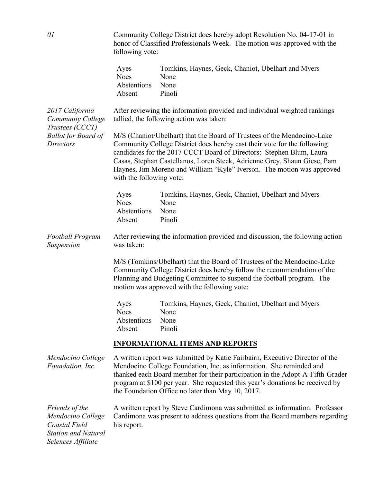*01* Community College District does hereby adopt Resolution No. 04-17-01 in honor of Classified Professionals Week. The motion was approved with the following vote: Ayes Tomkins, Haynes, Geck, Chaniot, Ubelhart and Myers Noes None Abstentions None Absent Pinoli *2017 California Community College Trustees (CCCT) Ballot for Board of Directors* After reviewing the information provided and individual weighted rankings tallied, the following action was taken: M/S (Chaniot/Ubelhart) that the Board of Trustees of the Mendocino-Lake Community College District does hereby cast their vote for the following candidates for the 2017 CCCT Board of Directors: Stephen Blum, Laura Casas, Stephan Castellanos, Loren Steck, Adrienne Grey, Shaun Giese, Pam Haynes, Jim Moreno and William "Kyle" Iverson. The motion was approved with the following vote: Ayes Tomkins, Haynes, Geck, Chaniot, Ubelhart and Myers Noes None Abstentions None Absent Pinoli *Football Program Suspension* After reviewing the information provided and discussion, the following action was taken: M/S (Tomkins/Ubelhart) that the Board of Trustees of the Mendocino-Lake Community College District does hereby follow the recommendation of the Planning and Budgeting Committee to suspend the football program. The motion was approved with the following vote: Ayes Tomkins, Haynes, Geck, Chaniot, Ubelhart and Myers Noes None Abstentions None Absent Pinoli **INFORMATIONAL ITEMS AND REPORTS**  *Mendocino College Foundation, Inc.* A written report was submitted by Katie Fairbairn, Executive Director of the Mendocino College Foundation, Inc. as information. She reminded and thanked each Board member for their participation in the Adopt-A-Fifth-Grader program at \$100 per year. She requested this year's donations be received by the Foundation Office no later than May 10, 2017. *Friends of the Mendocino College Coastal Field Station and Natural Sciences Affiliate* A written report by Steve Cardimona was submitted as information. Professor Cardimona was present to address questions from the Board members regarding his report.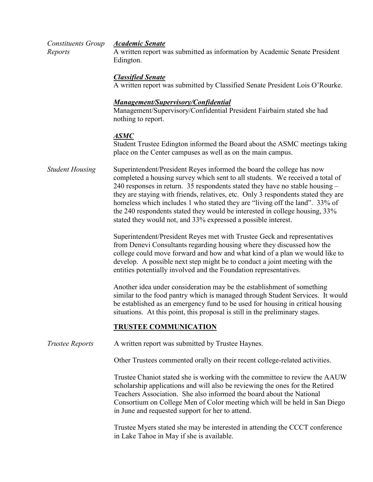| Constituents Group Academic Senate |                                                                            |
|------------------------------------|----------------------------------------------------------------------------|
| Reports                            | A written report was submitted as information by Academic Senate President |
|                                    | Edington.                                                                  |

#### *Classified Senate*

A written report was submitted by Classified Senate President Lois O'Rourke.

### *Management/Supervisory/Confidential*

Management/Supervisory/Confidential President Fairbairn stated she had nothing to report.

#### *ASMC*

Student Trustee Edington informed the Board about the ASMC meetings taking place on the Center campuses as well as on the main campus.

*Student Housing* Superintendent/President Reyes informed the board the college has now completed a housing survey which sent to all students. We received a total of 240 responses in return. 35 respondents stated they have no stable housing – they are staying with friends, relatives, etc. Only 3 respondents stated they are homeless which includes 1 who stated they are "living off the land". 33% of the 240 respondents stated they would be interested in college housing, 33% stated they would not, and 33% expressed a possible interest.

> Superintendent/President Reyes met with Trustee Geck and representatives from Denevi Consultants regarding housing where they discussed how the college could move forward and how and what kind of a plan we would like to develop. A possible next step might be to conduct a joint meeting with the entities potentially involved and the Foundation representatives.

Another idea under consideration may be the establishment of something similar to the food pantry which is managed through Student Services. It would be established as an emergency fund to be used for housing in critical housing situations. At this point, this proposal is still in the preliminary stages.

#### **TRUSTEE COMMUNICATION**

*Trustee Reports* A written report was submitted by Trustee Haynes.

Other Trustees commented orally on their recent college-related activities.

Trustee Chaniot stated she is working with the committee to review the AAUW scholarship applications and will also be reviewing the ones for the Retired Teachers Association. She also informed the board about the National Consortium on College Men of Color meeting which will be held in San Diego in June and requested support for her to attend.

Trustee Myers stated she may be interested in attending the CCCT conference in Lake Tahoe in May if she is available.